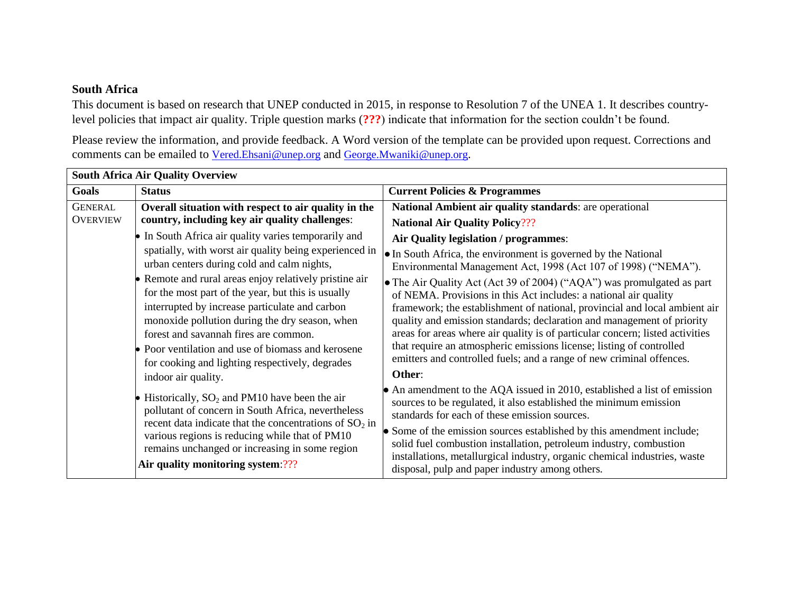## **South Africa**

This document is based on research that UNEP conducted in 2015, in response to Resolution 7 of the UNEA 1. It describes countrylevel policies that impact air quality. Triple question marks (**???**) indicate that information for the section couldn't be found.

Please review the information, and provide feedback. A Word version of the template can be provided upon request. Corrections and comments can be emailed to [Vered.Ehsani@unep.org](mailto:Vered.Ehsani@unep.org) and [George.Mwaniki@unep.org](mailto:George.Mwaniki@unep.org).

| <b>South Africa Air Quality Overview</b> |                                                                                                                                                                    |                                                                                                                                                |  |  |
|------------------------------------------|--------------------------------------------------------------------------------------------------------------------------------------------------------------------|------------------------------------------------------------------------------------------------------------------------------------------------|--|--|
| Goals                                    | <b>Status</b>                                                                                                                                                      | <b>Current Policies &amp; Programmes</b>                                                                                                       |  |  |
| <b>GENERAL</b>                           | Overall situation with respect to air quality in the                                                                                                               | National Ambient air quality standards: are operational                                                                                        |  |  |
| <b>OVERVIEW</b>                          | country, including key air quality challenges:                                                                                                                     | <b>National Air Quality Policy???</b>                                                                                                          |  |  |
|                                          | In South Africa air quality varies temporarily and                                                                                                                 | Air Quality legislation / programmes:                                                                                                          |  |  |
|                                          | spatially, with worst air quality being experienced in<br>urban centers during cold and calm nights,                                                               | • In South Africa, the environment is governed by the National                                                                                 |  |  |
|                                          |                                                                                                                                                                    | Environmental Management Act, 1998 (Act 107 of 1998) ("NEMA").                                                                                 |  |  |
|                                          | Remote and rural areas enjoy relatively pristine air                                                                                                               | • The Air Quality Act (Act 39 of 2004) ("AQA") was promulgated as part                                                                         |  |  |
|                                          | for the most part of the year, but this is usually<br>interrupted by increase particulate and carbon                                                               | of NEMA. Provisions in this Act includes: a national air quality<br>framework; the establishment of national, provincial and local ambient air |  |  |
|                                          | monoxide pollution during the dry season, when                                                                                                                     | quality and emission standards; declaration and management of priority                                                                         |  |  |
|                                          | forest and savannah fires are common.                                                                                                                              | areas for areas where air quality is of particular concern; listed activities                                                                  |  |  |
|                                          | Poor ventilation and use of biomass and kerosene                                                                                                                   | that require an atmospheric emissions license; listing of controlled                                                                           |  |  |
|                                          | for cooking and lighting respectively, degrades                                                                                                                    | emitters and controlled fuels; and a range of new criminal offences.                                                                           |  |  |
|                                          | indoor air quality.                                                                                                                                                | Other:                                                                                                                                         |  |  |
|                                          | Historically, $SO_2$ and PM10 have been the air<br>pollutant of concern in South Africa, nevertheless<br>recent data indicate that the concentrations of $SO_2$ in | • An amendment to the AQA issued in 2010, established a list of emission                                                                       |  |  |
|                                          |                                                                                                                                                                    | sources to be regulated, it also established the minimum emission<br>standards for each of these emission sources.                             |  |  |
|                                          |                                                                                                                                                                    | • Some of the emission sources established by this amendment include;                                                                          |  |  |
|                                          | various regions is reducing while that of PM10<br>remains unchanged or increasing in some region                                                                   | solid fuel combustion installation, petroleum industry, combustion                                                                             |  |  |
|                                          | Air quality monitoring system:???                                                                                                                                  | installations, metallurgical industry, organic chemical industries, waste                                                                      |  |  |
|                                          |                                                                                                                                                                    | disposal, pulp and paper industry among others.                                                                                                |  |  |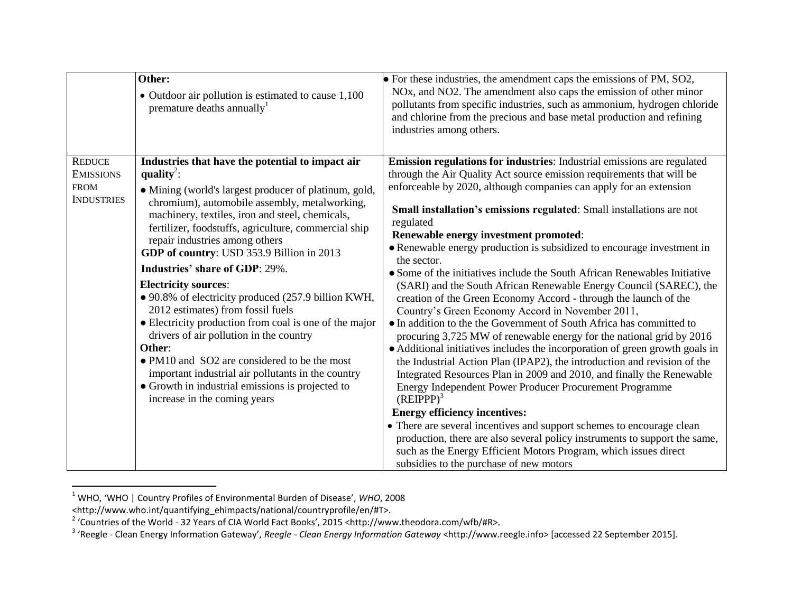|                                                                       | Other:<br>• Outdoor air pollution is estimated to cause 1,100<br>premature deaths annually                                                                                                                                                                                                                                                                                                                                                                                                                                                                                                                                                                                                                                                                                                                                                                  | $\bullet$ For these industries, the amendment caps the emissions of PM, SO2,<br>NOx, and NO2. The amendment also caps the emission of other minor<br>pollutants from specific industries, such as ammonium, hydrogen chloride<br>and chlorine from the precious and base metal production and refining<br>industries among others.                                                                                                                                                                                                                                                                                                                                                                                                                                                                                                                                                                                                                                                                                                                                                                                                                                                                                                                                                                                                                                                                                                                                                                     |
|-----------------------------------------------------------------------|-------------------------------------------------------------------------------------------------------------------------------------------------------------------------------------------------------------------------------------------------------------------------------------------------------------------------------------------------------------------------------------------------------------------------------------------------------------------------------------------------------------------------------------------------------------------------------------------------------------------------------------------------------------------------------------------------------------------------------------------------------------------------------------------------------------------------------------------------------------|--------------------------------------------------------------------------------------------------------------------------------------------------------------------------------------------------------------------------------------------------------------------------------------------------------------------------------------------------------------------------------------------------------------------------------------------------------------------------------------------------------------------------------------------------------------------------------------------------------------------------------------------------------------------------------------------------------------------------------------------------------------------------------------------------------------------------------------------------------------------------------------------------------------------------------------------------------------------------------------------------------------------------------------------------------------------------------------------------------------------------------------------------------------------------------------------------------------------------------------------------------------------------------------------------------------------------------------------------------------------------------------------------------------------------------------------------------------------------------------------------------|
| <b>REDUCE</b><br><b>EMISSIONS</b><br><b>FROM</b><br><b>INDUSTRIES</b> | Industries that have the potential to impact air<br>quality <sup>2</sup> :<br>· Mining (world's largest producer of platinum, gold,<br>chromium), automobile assembly, metalworking,<br>machinery, textiles, iron and steel, chemicals,<br>fertilizer, foodstuffs, agriculture, commercial ship<br>repair industries among others<br>GDP of country: USD 353.9 Billion in 2013<br><b>Industries' share of GDP: 29%.</b><br><b>Electricity sources:</b><br>• 90.8% of electricity produced (257.9 billion KWH,<br>2012 estimates) from fossil fuels<br>• Electricity production from coal is one of the major<br>drivers of air pollution in the country<br>Other:<br>• PM10 and SO2 are considered to be the most<br>important industrial air pollutants in the country<br>• Growth in industrial emissions is projected to<br>increase in the coming years | Emission regulations for industries: Industrial emissions are regulated<br>through the Air Quality Act source emission requirements that will be<br>enforceable by 2020, although companies can apply for an extension<br>Small installation's emissions regulated: Small installations are not<br>regulated<br>Renewable energy investment promoted:<br>• Renewable energy production is subsidized to encourage investment in<br>the sector.<br>• Some of the initiatives include the South African Renewables Initiative<br>(SARI) and the South African Renewable Energy Council (SAREC), the<br>creation of the Green Economy Accord - through the launch of the<br>Country's Green Economy Accord in November 2011,<br>• In addition to the the Government of South Africa has committed to<br>procuring 3,725 MW of renewable energy for the national grid by 2016<br>• Additional initiatives includes the incorporation of green growth goals in<br>the Industrial Action Plan (IPAP2), the introduction and revision of the<br>Integrated Resources Plan in 2009 and 2010, and finally the Renewable<br>Energy Independent Power Producer Procurement Programme<br>$(REIPP)^3$<br><b>Energy efficiency incentives:</b><br>• There are several incentives and support schemes to encourage clean<br>production, there are also several policy instruments to support the same,<br>such as the Energy Efficient Motors Program, which issues direct<br>subsidies to the purchase of new motors |

<sup>1</sup> WHO, 'WHO | Country Profiles of Environmental Burden of Disease', *WHO*, 2008

 $\overline{a}$ 

<sup>&</sup>lt;http://www.who.int/quantifying\_ehimpacts/national/countryprofile/en/#T>.<br><sup>2</sup> 'Countries of the World - 32 Years of CIA World Fact Books', 2015 <http://www.theodora.com/wfb/#R>.<br><sup>3</sup> 'Reegle - Clean Energy Information Gatew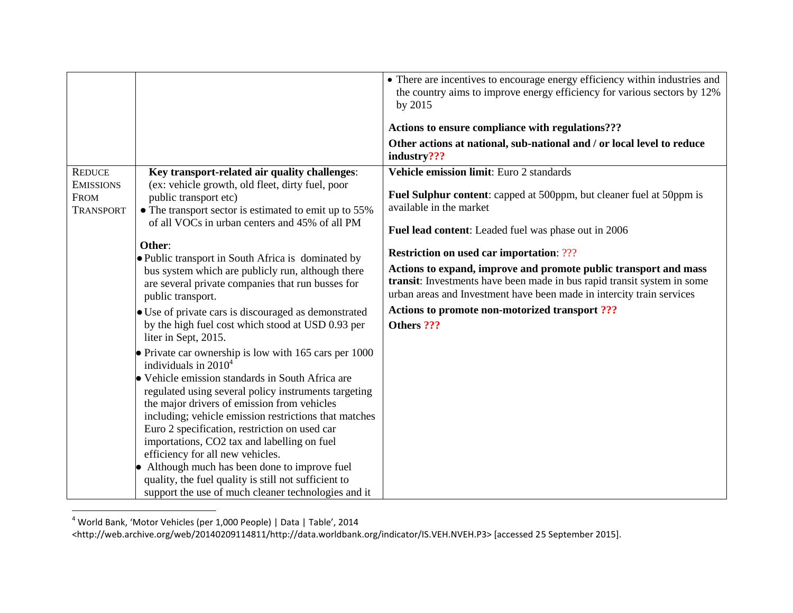|                                                                                                                                                                                                                                                                                                                                                                                                                                                                                                                                                                                                                                                                                                                                                                                                                                                                                                                                                                                                                                                                                                                                                                                                                                                                    | • There are incentives to encourage energy efficiency within industries and<br>the country aims to improve energy efficiency for various sectors by 12%<br>by 2015<br>Actions to ensure compliance with regulations???<br>Other actions at national, sub-national and / or local level to reduce<br>industry???                                                                                                                                                                                                                                                     |
|--------------------------------------------------------------------------------------------------------------------------------------------------------------------------------------------------------------------------------------------------------------------------------------------------------------------------------------------------------------------------------------------------------------------------------------------------------------------------------------------------------------------------------------------------------------------------------------------------------------------------------------------------------------------------------------------------------------------------------------------------------------------------------------------------------------------------------------------------------------------------------------------------------------------------------------------------------------------------------------------------------------------------------------------------------------------------------------------------------------------------------------------------------------------------------------------------------------------------------------------------------------------|---------------------------------------------------------------------------------------------------------------------------------------------------------------------------------------------------------------------------------------------------------------------------------------------------------------------------------------------------------------------------------------------------------------------------------------------------------------------------------------------------------------------------------------------------------------------|
| Key transport-related air quality challenges:<br><b>REDUCE</b><br>(ex: vehicle growth, old fleet, dirty fuel, poor<br><b>EMISSIONS</b><br>public transport etc)<br><b>FROM</b><br>• The transport sector is estimated to emit up to 55%<br><b>TRANSPORT</b><br>of all VOCs in urban centers and 45% of all PM<br>Other:<br>• Public transport in South Africa is dominated by<br>bus system which are publicly run, although there<br>are several private companies that run busses for<br>public transport.<br>• Use of private cars is discouraged as demonstrated<br>by the high fuel cost which stood at USD 0.93 per<br>liter in Sept, 2015.<br>$\bullet$ Private car ownership is low with 165 cars per 1000<br>individuals in $20104$<br>• Vehicle emission standards in South Africa are<br>regulated using several policy instruments targeting<br>the major drivers of emission from vehicles<br>including; vehicle emission restrictions that matches<br>Euro 2 specification, restriction on used car<br>importations, CO2 tax and labelling on fuel<br>efficiency for all new vehicles.<br>Although much has been done to improve fuel<br>quality, the fuel quality is still not sufficient to<br>support the use of much cleaner technologies and it | <b>Vehicle emission limit:</b> Euro 2 standards<br><b>Fuel Sulphur content:</b> capped at 500ppm, but cleaner fuel at 50ppm is<br>available in the market<br><b>Fuel lead content:</b> Leaded fuel was phase out in 2006<br><b>Restriction on used car importation: ???</b><br>Actions to expand, improve and promote public transport and mass<br>transit: Investments have been made in bus rapid transit system in some<br>urban areas and Investment have been made in intercity train services<br>Actions to promote non-motorized transport ???<br>Others ??? |

 $^4$  World Bank, 'Motor Vehicles (per 1,000 People) | Data | Table', 2014

l

<sup>&</sup>lt;http://web.archive.org/web/20140209114811/http://data.worldbank.org/indicator/IS.VEH.NVEH.P3> [accessed 25 September 2015].